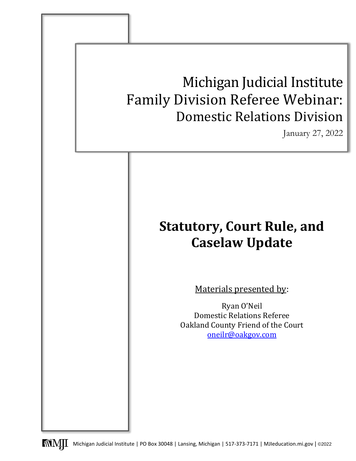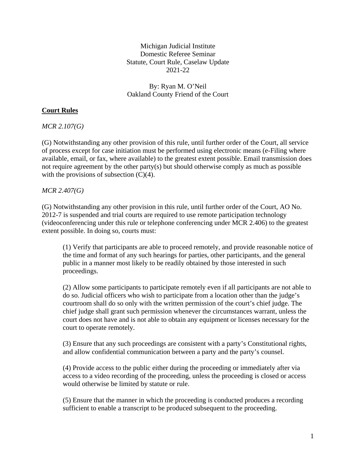Michigan Judicial Institute Domestic Referee Seminar Statute, Court Rule, Caselaw Update 2021-22

By: Ryan M. O'Neil Oakland County Friend of the Court

# **Court Rules**

*MCR 2.107(G)* 

(G) Notwithstanding any other provision of this rule, until further order of the Court, all service of process except for case initiation must be performed using electronic means (e-Filing where available, email, or fax, where available) to the greatest extent possible. Email transmission does not require agreement by the other party(s) but should otherwise comply as much as possible with the provisions of subsection  $(C)(4)$ .

# *MCR 2.407(G)*

(G) Notwithstanding any other provision in this rule, until further order of the Court, AO No. 2012-7 is suspended and trial courts are required to use remote participation technology (videoconferencing under this rule or telephone conferencing under MCR 2.406) to the greatest extent possible. In doing so, courts must:

(1) Verify that participants are able to proceed remotely, and provide reasonable notice of the time and format of any such hearings for parties, other participants, and the general public in a manner most likely to be readily obtained by those interested in such proceedings.

(2) Allow some participants to participate remotely even if all participants are not able to do so. Judicial officers who wish to participate from a location other than the judge's courtroom shall do so only with the written permission of the court's chief judge. The chief judge shall grant such permission whenever the circumstances warrant, unless the court does not have and is not able to obtain any equipment or licenses necessary for the court to operate remotely.

(3) Ensure that any such proceedings are consistent with a party's Constitutional rights, and allow confidential communication between a party and the party's counsel.

(4) Provide access to the public either during the proceeding or immediately after via access to a video recording of the proceeding, unless the proceeding is closed or access would otherwise be limited by statute or rule.

(5) Ensure that the manner in which the proceeding is conducted produces a recording sufficient to enable a transcript to be produced subsequent to the proceeding.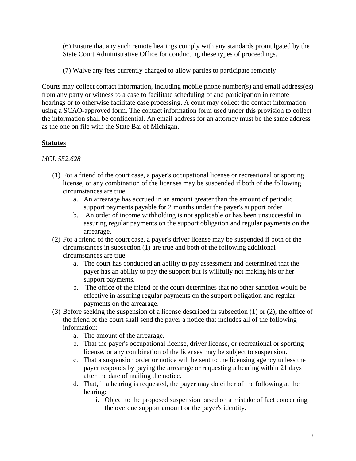(6) Ensure that any such remote hearings comply with any standards promulgated by the State Court Administrative Office for conducting these types of proceedings.

(7) Waive any fees currently charged to allow parties to participate remotely.

Courts may collect contact information, including mobile phone number(s) and email address(es) from any party or witness to a case to facilitate scheduling of and participation in remote hearings or to otherwise facilitate case processing. A court may collect the contact information using a SCAO-approved form. The contact information form used under this provision to collect the information shall be confidential. An email address for an attorney must be the same address as the one on file with the State Bar of Michigan.

# **Statutes**

# *MCL 552.628*

- (1) For a friend of the court case, a payer's occupational license or recreational or sporting license, or any combination of the licenses may be suspended if both of the following circumstances are true:
	- a. An arrearage has accrued in an amount greater than the amount of periodic support payments payable for 2 months under the payer's support order.
	- b. An order of income withholding is not applicable or has been unsuccessful in assuring regular payments on the support obligation and regular payments on the arrearage.
- (2) For a friend of the court case, a payer's driver license may be suspended if both of the circumstances in subsection (1) are true and both of the following additional circumstances are true:
	- a. The court has conducted an ability to pay assessment and determined that the payer has an ability to pay the support but is willfully not making his or her support payments.
	- b. The office of the friend of the court determines that no other sanction would be effective in assuring regular payments on the support obligation and regular payments on the arrearage.
- (3) Before seeking the suspension of a license described in subsection (1) or (2), the office of the friend of the court shall send the payer a notice that includes all of the following information:
	- a. The amount of the arrearage.
	- b. That the payer's occupational license, driver license, or recreational or sporting license, or any combination of the licenses may be subject to suspension.
	- c. That a suspension order or notice will be sent to the licensing agency unless the payer responds by paying the arrearage or requesting a hearing within 21 days after the date of mailing the notice.
	- d. That, if a hearing is requested, the payer may do either of the following at the hearing:
		- i. Object to the proposed suspension based on a mistake of fact concerning the overdue support amount or the payer's identity.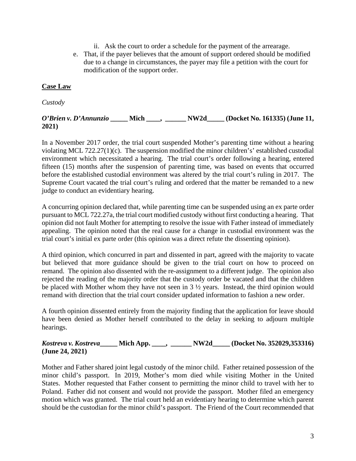- ii. Ask the court to order a schedule for the payment of the arrearage.
- e. That, if the payer believes that the amount of support ordered should be modified due to a change in circumstances, the payer may file a petition with the court for modification of the support order.

# **Case Law**

*Custody*

## *O'Brien v. D'Annunzio* **\_\_\_\_\_ Mich \_\_\_\_, \_\_\_\_\_\_ NW2d\_\_\_\_\_ (Docket No. 161335) (June 11, 2021)**

In a November 2017 order, the trial court suspended Mother's parenting time without a hearing violating MCL 722.27(1)(c). The suspension modified the minor children's' established custodial environment which necessitated a hearing. The trial court's order following a hearing, entered fifteen (15) months after the suspension of parenting time, was based on events that occurred before the established custodial environment was altered by the trial court's ruling in 2017. The Supreme Court vacated the trial court's ruling and ordered that the matter be remanded to a new judge to conduct an evidentiary hearing.

A concurring opinion declared that, while parenting time can be suspended using an ex parte order pursuant to MCL 722.27a, the trial court modified custody without first conducting a hearing. That opinion did not fault Mother for attempting to resolve the issue with Father instead of immediately appealing. The opinion noted that the real cause for a change in custodial environment was the trial court's initial ex parte order (this opinion was a direct refute the dissenting opinion).

A third opinion, which concurred in part and dissented in part, agreed with the majority to vacate but believed that more guidance should be given to the trial court on how to proceed on remand. The opinion also dissented with the re-assignment to a different judge. The opinion also rejected the reading of the majority order that the custody order be vacated and that the children be placed with Mother whom they have not seen in 3 ½ years. Instead, the third opinion would remand with direction that the trial court consider updated information to fashion a new order.

A fourth opinion dissented entirely from the majority finding that the application for leave should have been denied as Mother herself contributed to the delay in seeking to adjourn multiple hearings.

## *Kostreva v. Kostreva***\_\_\_\_\_ Mich App. \_\_\_\_, \_\_\_\_\_\_ NW2d\_\_\_\_\_ (Docket No. 352029,353316) (June 24, 2021)**

Mother and Father shared joint legal custody of the minor child. Father retained possession of the minor child's passport. In 2019, Mother's mom died while visiting Mother in the United States. Mother requested that Father consent to permitting the minor child to travel with her to Poland. Father did not consent and would not provide the passport. Mother filed an emergency motion which was granted. The trial court held an evidentiary hearing to determine which parent should be the custodian for the minor child's passport. The Friend of the Court recommended that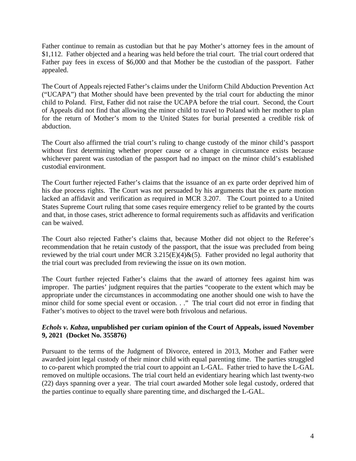Father continue to remain as custodian but that he pay Mother's attorney fees in the amount of \$1,112. Father objected and a hearing was held before the trial court. The trial court ordered that Father pay fees in excess of \$6,000 and that Mother be the custodian of the passport. Father appealed.

The Court of Appeals rejected Father's claims under the Uniform Child Abduction Prevention Act ("UCAPA") that Mother should have been prevented by the trial court for abducting the minor child to Poland. First, Father did not raise the UCAPA before the trial court. Second, the Court of Appeals did not find that allowing the minor child to travel to Poland with her mother to plan for the return of Mother's mom to the United States for burial presented a credible risk of abduction.

The Court also affirmed the trial court's ruling to change custody of the minor child's passport without first determining whether proper cause or a change in circumstance exists because whichever parent was custodian of the passport had no impact on the minor child's established custodial environment.

The Court further rejected Father's claims that the issuance of an ex parte order deprived him of his due process rights. The Court was not persuaded by his arguments that the ex parte motion lacked an affidavit and verification as required in MCR 3.207. The Court pointed to a United States Supreme Court ruling that some cases require emergency relief to be granted by the courts and that, in those cases, strict adherence to formal requirements such as affidavits and verification can be waived.

The Court also rejected Father's claims that, because Mother did not object to the Referee's recommendation that he retain custody of the passport, that the issue was precluded from being reviewed by the trial court under MCR 3.215(E)(4) $\&$ (5). Father provided no legal authority that the trial court was precluded from reviewing the issue on its own motion.

The Court further rejected Father's claims that the award of attorney fees against him was improper. The parties' judgment requires that the parties "cooperate to the extent which may be appropriate under the circumstances in accommodating one another should one wish to have the minor child for some special event or occasion. . ." The trial court did not error in finding that Father's motives to object to the travel were both frivolous and nefarious.

# *Echols v. Kabza***, unpublished per curiam opinion of the Court of Appeals, issued November 9, 2021 (Docket No. 355876)**

Pursuant to the terms of the Judgment of Divorce, entered in 2013, Mother and Father were awarded joint legal custody of their minor child with equal parenting time. The parties struggled to co-parent which prompted the trial court to appoint an L-GAL. Father tried to have the L-GAL removed on multiple occasions. The trial court held an evidentiary hearing which last twenty-two (22) days spanning over a year. The trial court awarded Mother sole legal custody, ordered that the parties continue to equally share parenting time, and discharged the L-GAL.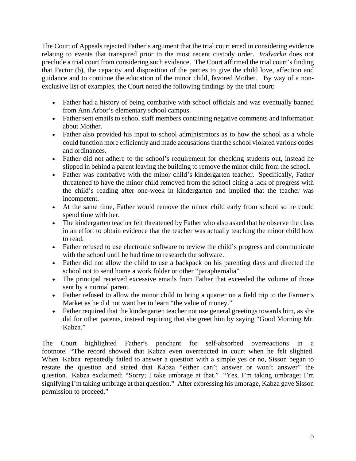The Court of Appeals rejected Father's argument that the trial court erred in considering evidence relating to events that transpired prior to the most recent custody order. *Vodvarka* does not preclude a trial court from considering such evidence. The Court affirmed the trial court's finding that Factor (b), the capacity and disposition of the parties to give the child love, affection and guidance and to continue the education of the minor child, favored Mother. By way of a nonexclusive list of examples, the Court noted the following findings by the trial court:

- Father had a history of being combative with school officials and was eventually banned from Ann Arbor's elementary school campus.
- Father sent emails to school staff members containing negative comments and information about Mother.
- Father also provided his input to school administrators as to how the school as a whole could function more efficiently and made accusations that the school violated various codes and ordinances.
- Father did not adhere to the school's requirement for checking students out, instead he slipped in behind a parent leaving the building to remove the minor child from the school.
- Father was combative with the minor child's kindergarten teacher. Specifically, Father threatened to have the minor child removed from the school citing a lack of progress with the child's reading after one-week in kindergarten and implied that the teacher was incompetent.
- At the same time, Father would remove the minor child early from school so he could spend time with her.
- The kindergarten teacher felt threatened by Father who also asked that he observe the class in an effort to obtain evidence that the teacher was actually teaching the minor child how to read.
- Father refused to use electronic software to review the child's progress and communicate with the school until he had time to research the software.
- Father did not allow the child to use a backpack on his parenting days and directed the school not to send home a work folder or other "paraphernalia"
- The principal received excessive emails from Father that exceeded the volume of those sent by a normal parent.
- Father refused to allow the minor child to bring a quarter on a field trip to the Farmer's Market as he did not want her to learn "the value of money."
- Father required that the kindergarten teacher not use general greetings towards him, as she did for other parents, instead requiring that she greet him by saying "Good Morning Mr. Kabza."

The Court highlighted Father's penchant for self-absorbed overreactions in a footnote. "The record showed that Kabza even overreacted in court when he felt slighted. When Kabza repeatedly failed to answer a question with a simple yes or no, Sisson began to restate the question and stated that Kabza "either can't answer or won't answer" the question. Kabza exclaimed: "Sorry; I take umbrage at that." "Yes, I'm taking umbrage; I'm signifying I'm taking umbrage at that question." After expressing his umbrage, Kabza gave Sisson permission to proceed."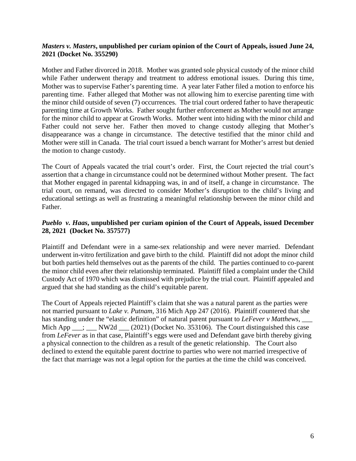## *Masters v. Masters***, unpublished per curiam opinion of the Court of Appeals, issued June 24, 2021 (Docket No. 355290)**

Mother and Father divorced in 2018. Mother was granted sole physical custody of the minor child while Father underwent therapy and treatment to address emotional issues. During this time, Mother was to supervise Father's parenting time. A year later Father filed a motion to enforce his parenting time. Father alleged that Mother was not allowing him to exercise parenting time with the minor child outside of seven (7) occurrences. The trial court ordered father to have therapeutic parenting time at Growth Works. Father sought further enforcement as Mother would not arrange for the minor child to appear at Growth Works. Mother went into hiding with the minor child and Father could not serve her. Father then moved to change custody alleging that Mother's disappearance was a change in circumstance. The detective testified that the minor child and Mother were still in Canada. The trial court issued a bench warrant for Mother's arrest but denied the motion to change custody.

The Court of Appeals vacated the trial court's order. First, the Court rejected the trial court's assertion that a change in circumstance could not be determined without Mother present. The fact that Mother engaged in parental kidnapping was, in and of itself, a change in circumstance. The trial court, on remand, was directed to consider Mother's disruption to the child's living and educational settings as well as frustrating a meaningful relationship between the minor child and Father.

# *Pueblo v. Haas***, unpublished per curiam opinion of the Court of Appeals, issued December 28, 2021 (Docket No. 357577)**

Plaintiff and Defendant were in a same-sex relationship and were never married. Defendant underwent in-vitro fertilization and gave birth to the child. Plaintiff did not adopt the minor child but both parties held themselves out as the parents of the child. The parties continued to co-parent the minor child even after their relationship terminated. Plaintiff filed a complaint under the Child Custody Act of 1970 which was dismissed with prejudice by the trial court. Plaintiff appealed and argued that she had standing as the child's equitable parent.

The Court of Appeals rejected Plaintiff's claim that she was a natural parent as the parties were not married pursuant to *Lake v. Putnam*, 316 Mich App 247 (2016). Plaintiff countered that she has standing under the "elastic definition" of natural parent pursuant to *LeFever v Matthews*, Mich App  $\frac{1}{\sqrt{2}}$ ;  $\frac{1}{\sqrt{2}}$  NW2d  $\frac{1}{\sqrt{2}}$  (2021) (Docket No. 353106). The Court distinguished this case from *LeFever* as in that case, Plaintiff's eggs were used and Defendant gave birth thereby giving a physical connection to the children as a result of the genetic relationship. The Court also declined to extend the equitable parent doctrine to parties who were not married irrespective of the fact that marriage was not a legal option for the parties at the time the child was conceived.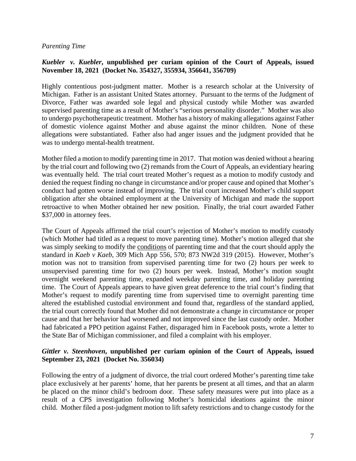## *Parenting Time*

# *Kuebler v. Kuebler***, unpublished per curiam opinion of the Court of Appeals, issued November 18, 2021 (Docket No. 354327, 355934, 356641, 356709)**

Highly contentious post-judgment matter. Mother is a research scholar at the University of Michigan. Father is an assistant United States attorney. Pursuant to the terms of the Judgment of Divorce, Father was awarded sole legal and physical custody while Mother was awarded supervised parenting time as a result of Mother's "serious personality disorder." Mother was also to undergo psychotherapeutic treatment. Mother has a history of making allegations against Father of domestic violence against Mother and abuse against the minor children. None of these allegations were substantiated. Father also had anger issues and the judgment provided that he was to undergo mental-health treatment.

Mother filed a motion to modify parenting time in 2017. That motion was denied without a hearing by the trial court and following two (2) remands from the Court of Appeals, an evidentiary hearing was eventually held. The trial court treated Mother's request as a motion to modify custody and denied the request finding no change in circumstance and/or proper cause and opined that Mother's conduct had gotten worse instead of improving. The trial court increased Mother's child support obligation after she obtained employment at the University of Michigan and made the support retroactive to when Mother obtained her new position. Finally, the trial court awarded Father \$37,000 in attorney fees.

The Court of Appeals affirmed the trial court's rejection of Mother's motion to modify custody (which Mother had titled as a request to move parenting time). Mother's motion alleged that she was simply seeking to modify the conditions of parenting time and that the court should apply the standard in *Kaeb v Kaeb*, 309 Mich App 556, 570; 873 NW2d 319 (2015). However, Mother's motion was not to transition from supervised parenting time for two (2) hours per week to unsupervised parenting time for two (2) hours per week. Instead, Mother's motion sought overnight weekend parenting time, expanded weekday parenting time, and holiday parenting time. The Court of Appeals appears to have given great deference to the trial court's finding that Mother's request to modify parenting time from supervised time to overnight parenting time altered the established custodial environment and found that, regardless of the standard applied, the trial court correctly found that Mother did not demonstrate a change in circumstance or proper cause and that her behavior had worsened and not improved since the last custody order. Mother had fabricated a PPO petition against Father, disparaged him in Facebook posts, wrote a letter to the State Bar of Michigan commissioner, and filed a complaint with his employer.

## *Gittler v. Steenhoven***, unpublished per curiam opinion of the Court of Appeals, issued September 23, 2021 (Docket No. 356034)**

Following the entry of a judgment of divorce, the trial court ordered Mother's parenting time take place exclusively at her parents' home, that her parents be present at all times, and that an alarm be placed on the minor child's bedroom door. These safety measures were put into place as a result of a CPS investigation following Mother's homicidal ideations against the minor child. Mother filed a post-judgment motion to lift safety restrictions and to change custody for the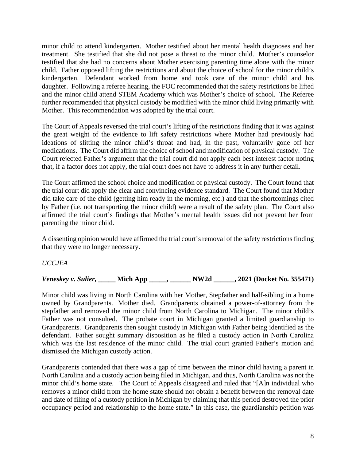minor child to attend kindergarten. Mother testified about her mental health diagnoses and her treatment. She testified that she did not pose a threat to the minor child. Mother's counselor testified that she had no concerns about Mother exercising parenting time alone with the minor child. Father opposed lifting the restrictions and about the choice of school for the minor child's kindergarten. Defendant worked from home and took care of the minor child and his daughter. Following a referee hearing, the FOC recommended that the safety restrictions be lifted and the minor child attend STEM Academy which was Mother's choice of school. The Referee further recommended that physical custody be modified with the minor child living primarily with Mother. This recommendation was adopted by the trial court.

The Court of Appeals reversed the trial court's lifting of the restrictions finding that it was against the great weight of the evidence to lift safety restrictions where Mother had previously had ideations of slitting the minor child's throat and had, in the past, voluntarily gone off her medications. The Court did affirm the choice of school and modification of physical custody. The Court rejected Father's argument that the trial court did not apply each best interest factor noting that, if a factor does not apply, the trial court does not have to address it in any further detail.

The Court affirmed the school choice and modification of physical custody. The Court found that the trial court did apply the clear and convincing evidence standard. The Court found that Mother did take care of the child (getting him ready in the morning, etc.) and that the shortcomings cited by Father (i.e. not transporting the minor child) were a result of the safety plan. The Court also affirmed the trial court's findings that Mother's mental health issues did not prevent her from parenting the minor child.

A dissenting opinion would have affirmed the trial court's removal of the safety restrictions finding that they were no longer necessary.

*UCCJEA*

*Veneskey v. Sulier***, \_\_\_\_\_ Mich App \_\_\_\_\_, \_\_\_\_\_\_ NW2d \_\_\_\_\_\_, 2021 (Docket No. 355471)**

Minor child was living in North Carolina with her Mother, Stepfather and half-sibling in a home owned by Grandparents. Mother died. Grandparents obtained a power-of-attorney from the stepfather and removed the minor child from North Carolina to Michigan. The minor child's Father was not consulted. The probate court in Michigan granted a limited guardianship to Grandparents. Grandparents then sought custody in Michigan with Father being identified as the defendant. Father sought summary disposition as he filed a custody action in North Carolina which was the last residence of the minor child. The trial court granted Father's motion and dismissed the Michigan custody action.

Grandparents contended that there was a gap of time between the minor child having a parent in North Carolina and a custody action being filed in Michigan, and thus, North Carolina was not the minor child's home state. The Court of Appeals disagreed and ruled that "[A]n individual who removes a minor child from the home state should not obtain a benefit between the removal date and date of filing of a custody petition in Michigan by claiming that this period destroyed the prior occupancy period and relationship to the home state." In this case, the guardianship petition was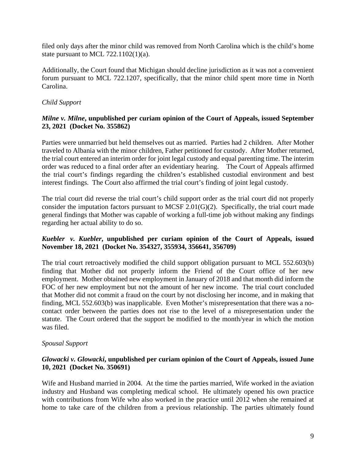filed only days after the minor child was removed from North Carolina which is the child's home state pursuant to MCL 722.1102(1)(a).

Additionally, the Court found that Michigan should decline jurisdiction as it was not a convenient forum pursuant to MCL 722.1207, specifically, that the minor child spent more time in North Carolina.

## *Child Support*

## *Milne v. Milne***, unpublished per curiam opinion of the Court of Appeals, issued September 23, 2021 (Docket No. 355862)**

Parties were unmarried but held themselves out as married. Parties had 2 children. After Mother traveled to Albania with the minor children, Father petitioned for custody. After Mother returned, the trial court entered an interim order for joint legal custody and equal parenting time. The interim order was reduced to a final order after an evidentiary hearing. The Court of Appeals affirmed order was reduced to a final order after an evidentiary hearing. the trial court's findings regarding the children's established custodial environment and best interest findings. The Court also affirmed the trial court's finding of joint legal custody.

The trial court did reverse the trial court's child support order as the trial court did not properly consider the imputation factors pursuant to MCSF 2.01 $(G)(2)$ . Specifically, the trial court made general findings that Mother was capable of working a full-time job without making any findings regarding her actual ability to do so.

## *Kuebler v. Kuebler***, unpublished per curiam opinion of the Court of Appeals, issued November 18, 2021 (Docket No. 354327, 355934, 356641, 356709)**

The trial court retroactively modified the child support obligation pursuant to MCL 552.603(b) finding that Mother did not properly inform the Friend of the Court office of her new employment. Mother obtained new employment in January of 2018 and that month did inform the FOC of her new employment but not the amount of her new income. The trial court concluded that Mother did not commit a fraud on the court by not disclosing her income, and in making that finding, MCL 552.603(b) was inapplicable. Even Mother's misrepresentation that there was a nocontact order between the parties does not rise to the level of a misrepresentation under the statute. The Court ordered that the support be modified to the month/year in which the motion was filed.

#### *Spousal Support*

## *Glowacki v. Glowacki***, unpublished per curiam opinion of the Court of Appeals, issued June 10, 2021 (Docket No. 350691)**

Wife and Husband married in 2004. At the time the parties married, Wife worked in the aviation industry and Husband was completing medical school. He ultimately opened his own practice with contributions from Wife who also worked in the practice until 2012 when she remained at home to take care of the children from a previous relationship. The parties ultimately found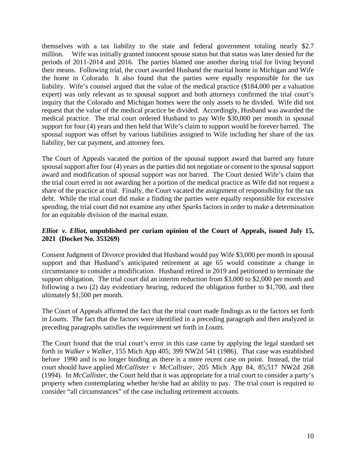themselves with a tax liability to the state and federal government totaling nearly \$2.7 million. Wife was initially granted innocent spouse status but that status was later denied for the periods of 2011-2014 and 2016. The parties blamed one another during trial for living beyond their means. Following trial, the court awarded Husband the marital home in Michigan and Wife the home in Colorado. It also found that the parties were equally responsible for the tax liability. Wife's counsel argued that the value of the medical practice (\$184,000 per a valuation expert) was only relevant as to spousal support and both attorneys confirmed the trial court's inquiry that the Colorado and Michigan homes were the only assets to be divided. Wife did not request that the value of the medical practice be divided. Accordingly, Husband was awarded the medical practice. The trial court ordered Husband to pay Wife \$30,000 per month in spousal support for four (4) years and then held that Wife's claim to support would be forever barred. The spousal support was offset by various liabilities assigned to Wife including her share of the tax liability, her car payment, and attorney fees.

The Court of Appeals vacated the portion of the spousal support award that barred any future spousal support after four (4) years as the parties did not negotiate or consent to the spousal support award and modification of spousal support was not barred. The Court denied Wife's claim that the trial court erred in not awarding her a portion of the medical practice as Wife did not request a share of the practice at trial. Finally, the Court vacated the assignment of responsibility for the tax debt. While the trial court did make a finding the parties were equally responsible for excessive spending, the trial court did not examine any other *Sparks* factors in order to make a determination for an equitable division of the marital estate.

# *Elliot v. Elliot***, unpublished per curiam opinion of the Court of Appeals, issued July 15, 2021 (Docket No. 353269)**

Consent Judgment of Divorce provided that Husband would pay Wife \$3,000 per month in spousal support and that Husband's anticipated retirement at age 65 would constitute a change in circumstance to consider a modification. Husband retired in 2019 and petitioned to terminate the support obligation. The trial court did an interim reduction from \$3,000 to \$2,000 per month and following a two (2) day evidentiary hearing, reduced the obligation further to \$1,700, and then ultimately \$1,500 per month.

The Court of Appeals affirmed the fact that the trial court made findings as to the factors set forth in *Loutts*. The fact that the factors were identified in a preceding paragraph and then analyzed in preceding paragraphs satisfies the requirement set forth in *Loutts.* 

The Court found that the trial court's error in this case came by applying the legal standard set forth in *Walker v Walker*, 155 Mich App 405; 399 NW2d 541 (1986). That case was established before 1990 and is no longer binding as there is a more recent case on point. Instead, the trial court should have applied *McCallister v McCallister*, 205 Mich App 84, 85;517 NW2d 268 (1994). In *McCallister*, the Court held that it was appropriate for a trial court to consider a party's property when contemplating whether he/she had an ability to pay. The trial court is required to consider "all circumstances" of the case including retirement accounts.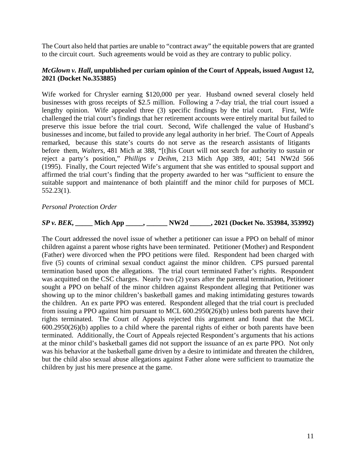The Court also held that parties are unable to "contract away" the equitable powers that are granted to the circuit court. Such agreements would be void as they are contrary to public policy.

## *McGlown v. Hall***, unpublished per curiam opinion of the Court of Appeals, issued August 12, 2021 (Docket No.353885)**

Wife worked for Chrysler earning \$120,000 per year. Husband owned several closely held businesses with gross receipts of \$2.5 million. Following a 7-day trial, the trial court issued a lengthy opinion. Wife appealed three (3) specific findings by the trial court. First, Wife challenged the trial court's findings that her retirement accounts were entirely marital but failed to preserve this issue before the trial court. Second, Wife challenged the value of Husband's businesses and income, but failed to provide any legal authority in her brief. The Court of Appeals remarked, because this state's courts do not serve as the research assistants of litigants before them, *Walters*, 481 Mich at 388, "[t]his Court will not search for authority to sustain or reject a party's position," *Phillips v Deihm*, 213 Mich App 389, 401; 541 NW2d 566 (1995). Finally, the Court rejected Wife's argument that she was entitled to spousal support and affirmed the trial court's finding that the property awarded to her was "sufficient to ensure the suitable support and maintenance of both plaintiff and the minor child for purposes of MCL 552.23(1).

*Personal Protection Order*

*SP v. BEK***, \_\_\_\_\_ Mich App \_\_\_\_\_, \_\_\_\_\_\_ NW2d \_\_\_\_\_\_, 2021 (Docket No. 353984, 353992)**

The Court addressed the novel issue of whether a petitioner can issue a PPO on behalf of minor children against a parent whose rights have been terminated. Petitioner (Mother) and Respondent (Father) were divorced when the PPO petitions were filed. Respondent had been charged with five (5) counts of criminal sexual conduct against the minor children. CPS pursued parental termination based upon the allegations. The trial court terminated Father's rights. Respondent was acquitted on the CSC charges. Nearly two (2) years after the parental termination, Petitioner sought a PPO on behalf of the minor children against Respondent alleging that Petitioner was showing up to the minor children's basketball games and making intimidating gestures towards the children. An ex parte PPO was entered. Respondent alleged that the trial court is precluded from issuing a PPO against him pursuant to MCL 600.2950(26)(b) unless both parents have their rights terminated. The Court of Appeals rejected this argument and found that the MCL 600.2950(26)(b) applies to a child where the parental rights of either or both parents have been terminated. Additionally, the Court of Appeals rejected Respondent's arguments that his actions at the minor child's basketball games did not support the issuance of an ex parte PPO. Not only was his behavior at the basketball game driven by a desire to intimidate and threaten the children, but the child also sexual abuse allegations against Father alone were sufficient to traumatize the children by just his mere presence at the game.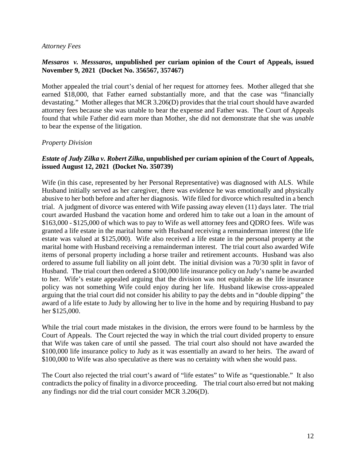## *Attorney Fees*

## *Messaros v. Messsaros***, unpublished per curiam opinion of the Court of Appeals, issued November 9, 2021 (Docket No. 356567, 357467)**

Mother appealed the trial court's denial of her request for attorney fees. Mother alleged that she earned \$18,000, that Father earned substantially more, and that the case was "financially devastating." Mother alleges that MCR 3.206(D) provides that the trial court should have awarded attorney fees because she was unable to bear the expense and Father was. The Court of Appeals found that while Father did earn more than Mother, she did not demonstrate that she was *unable* to bear the expense of the litigation.

## *Property Division*

## *Estate of Judy Zilka v. Robert Zilka***, unpublished per curiam opinion of the Court of Appeals, issued August 12, 2021 (Docket No. 350739)**

Wife (in this case, represented by her Personal Representative) was diagnosed with ALS. While Husband initially served as her caregiver, there was evidence he was emotionally and physically abusive to her both before and after her diagnosis. Wife filed for divorce which resulted in a bench trial. A judgment of divorce was entered with Wife passing away eleven (11) days later. The trial court awarded Husband the vacation home and ordered him to take out a loan in the amount of \$163,000 - \$125,000 of which was to pay to Wife as well attorney fees and QDRO fees. Wife was granted a life estate in the marital home with Husband receiving a remainderman interest (the life estate was valued at \$125,000). Wife also received a life estate in the personal property at the marital home with Husband receiving a remainderman interest. The trial court also awarded Wife items of personal property including a horse trailer and retirement accounts. Husband was also ordered to assume full liability on all joint debt. The initial division was a 70/30 split in favor of Husband. The trial court then ordered a \$100,000 life insurance policy on Judy's name be awarded to her. Wife's estate appealed arguing that the division was not equitable as the life insurance policy was not something Wife could enjoy during her life. Husband likewise cross-appealed arguing that the trial court did not consider his ability to pay the debts and in "double dipping" the award of a life estate to Judy by allowing her to live in the home and by requiring Husband to pay her \$125,000.

While the trial court made mistakes in the division, the errors were found to be harmless by the Court of Appeals. The Court rejected the way in which the trial court divided property to ensure that Wife was taken care of until she passed. The trial court also should not have awarded the \$100,000 life insurance policy to Judy as it was essentially an award to her heirs. The award of \$100,000 to Wife was also speculative as there was no certainty with when she would pass.

The Court also rejected the trial court's award of "life estates" to Wife as "questionable." It also contradicts the policy of finality in a divorce proceeding. The trial court also erred but not making any findings nor did the trial court consider MCR 3.206(D).